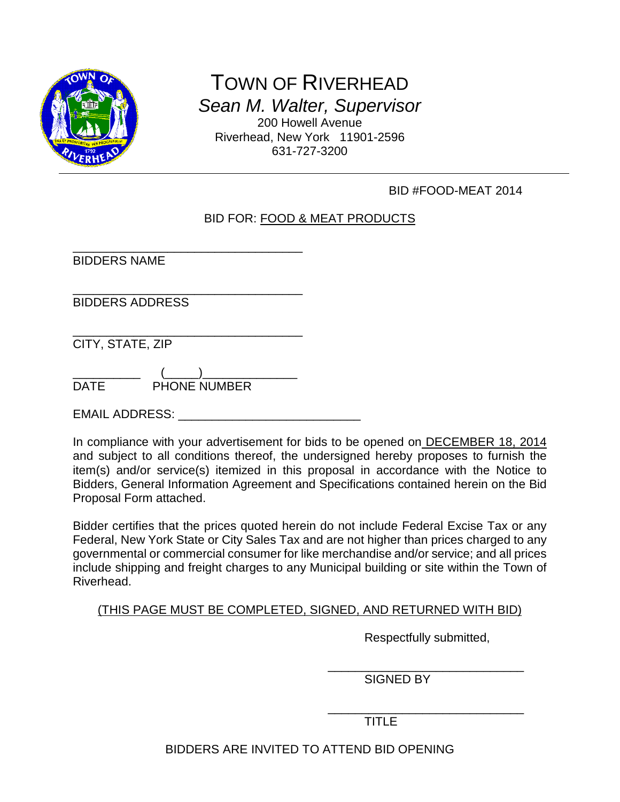

TOWN OF RIVERHEAD *Sean M. Walter, Supervisor* 200 Howell Avenue Riverhead, New York 11901-2596 631-727-3200

# BID #FOOD-MEAT 2014

# BID FOR: FOOD & MEAT PRODUCTS

\_\_\_\_\_\_\_\_\_\_\_\_\_\_\_\_\_\_\_\_\_\_\_\_\_\_\_\_\_\_\_\_\_\_ BIDDERS NAME

\_\_\_\_\_\_\_\_\_\_\_\_\_\_\_\_\_\_\_\_\_\_\_\_\_\_\_\_\_\_\_\_\_\_ BIDDERS ADDRESS

\_\_\_\_\_\_\_\_\_\_\_\_\_\_\_\_\_\_\_\_\_\_\_\_\_\_\_\_\_\_\_\_\_\_ CITY, STATE, ZIP

\_\_\_\_\_\_\_\_\_\_ (\_\_\_\_\_)\_\_\_\_\_\_\_\_\_\_\_\_\_\_ DATE PHONE NUMBER

EMAIL ADDRESS: **EMAIL ADDRESS**:

In compliance with your advertisement for bids to be opened on DECEMBER 18, 2014 and subject to all conditions thereof, the undersigned hereby proposes to furnish the item(s) and/or service(s) itemized in this proposal in accordance with the Notice to Bidders, General Information Agreement and Specifications contained herein on the Bid Proposal Form attached.

Bidder certifies that the prices quoted herein do not include Federal Excise Tax or any Federal, New York State or City Sales Tax and are not higher than prices charged to any governmental or commercial consumer for like merchandise and/or service; and all prices include shipping and freight charges to any Municipal building or site within the Town of Riverhead.

### (THIS PAGE MUST BE COMPLETED, SIGNED, AND RETURNED WITH BID)

Respectfully submitted,

\_\_\_\_\_\_\_\_\_\_\_\_\_\_\_\_\_\_\_\_\_\_\_\_\_\_\_\_\_ SIGNED BY

\_\_\_\_\_\_\_\_\_\_\_\_\_\_\_\_\_\_\_\_\_\_\_\_\_\_\_\_\_ TITLE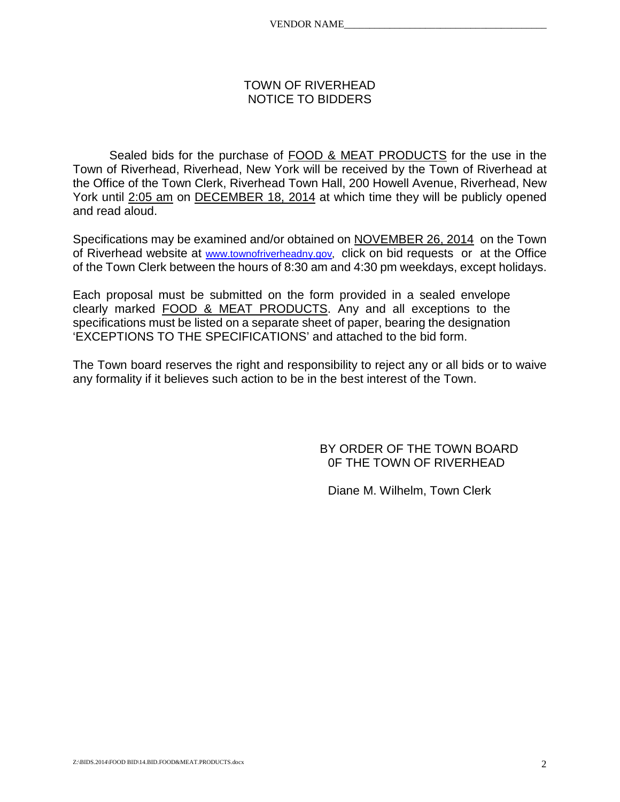#### TOWN OF RIVERHEAD NOTICE TO BIDDERS

Sealed bids for the purchase of FOOD & MEAT PRODUCTS for the use in the Town of Riverhead, Riverhead, New York will be received by the Town of Riverhead at the Office of the Town Clerk, Riverhead Town Hall, 200 Howell Avenue, Riverhead, New York until 2:05 am on DECEMBER 18, 2014 at which time they will be publicly opened and read aloud.

Specifications may be examined and/or obtained on NOVEMBER 26, 2014 on the Town of Riverhead website at [www.townofriverheadny.gov](http://www.townofriverheadny.gov/), click on bid requests or at the Office of the Town Clerk between the hours of 8:30 am and 4:30 pm weekdays, except holidays.

Each proposal must be submitted on the form provided in a sealed envelope clearly marked FOOD & MEAT PRODUCTS. Any and all exceptions to the specifications must be listed on a separate sheet of paper, bearing the designation 'EXCEPTIONS TO THE SPECIFICATIONS' and attached to the bid form.

The Town board reserves the right and responsibility to reject any or all bids or to waive any formality if it believes such action to be in the best interest of the Town.

> BY ORDER OF THE TOWN BOARD 0F THE TOWN OF RIVERHEAD

Diane M. Wilhelm, Town Clerk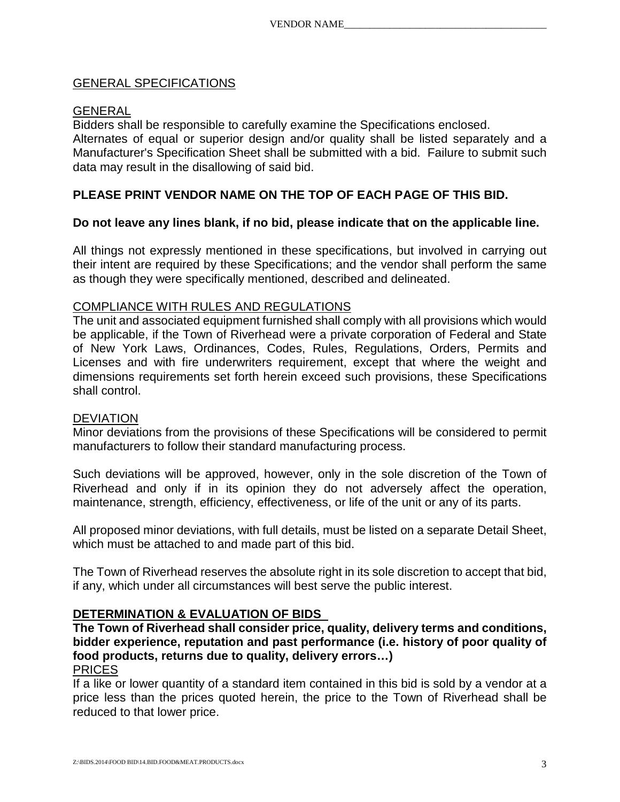### GENERAL SPECIFICATIONS

### GENERAL

Bidders shall be responsible to carefully examine the Specifications enclosed. Alternates of equal or superior design and/or quality shall be listed separately and a Manufacturer's Specification Sheet shall be submitted with a bid. Failure to submit such data may result in the disallowing of said bid.

# **PLEASE PRINT VENDOR NAME ON THE TOP OF EACH PAGE OF THIS BID.**

#### **Do not leave any lines blank, if no bid, please indicate that on the applicable line.**

All things not expressly mentioned in these specifications, but involved in carrying out their intent are required by these Specifications; and the vendor shall perform the same as though they were specifically mentioned, described and delineated.

#### COMPLIANCE WITH RULES AND REGULATIONS

The unit and associated equipment furnished shall comply with all provisions which would be applicable, if the Town of Riverhead were a private corporation of Federal and State of New York Laws, Ordinances, Codes, Rules, Regulations, Orders, Permits and Licenses and with fire underwriters requirement, except that where the weight and dimensions requirements set forth herein exceed such provisions, these Specifications shall control.

#### DEVIATION

Minor deviations from the provisions of these Specifications will be considered to permit manufacturers to follow their standard manufacturing process.

Such deviations will be approved, however, only in the sole discretion of the Town of Riverhead and only if in its opinion they do not adversely affect the operation, maintenance, strength, efficiency, effectiveness, or life of the unit or any of its parts.

All proposed minor deviations, with full details, must be listed on a separate Detail Sheet, which must be attached to and made part of this bid.

The Town of Riverhead reserves the absolute right in its sole discretion to accept that bid, if any, which under all circumstances will best serve the public interest.

### **DETERMINATION & EVALUATION OF BIDS**

**The Town of Riverhead shall consider price, quality, delivery terms and conditions, bidder experience, reputation and past performance (i.e. history of poor quality of food products, returns due to quality, delivery errors…)**

### PRICES

If a like or lower quantity of a standard item contained in this bid is sold by a vendor at a price less than the prices quoted herein, the price to the Town of Riverhead shall be reduced to that lower price.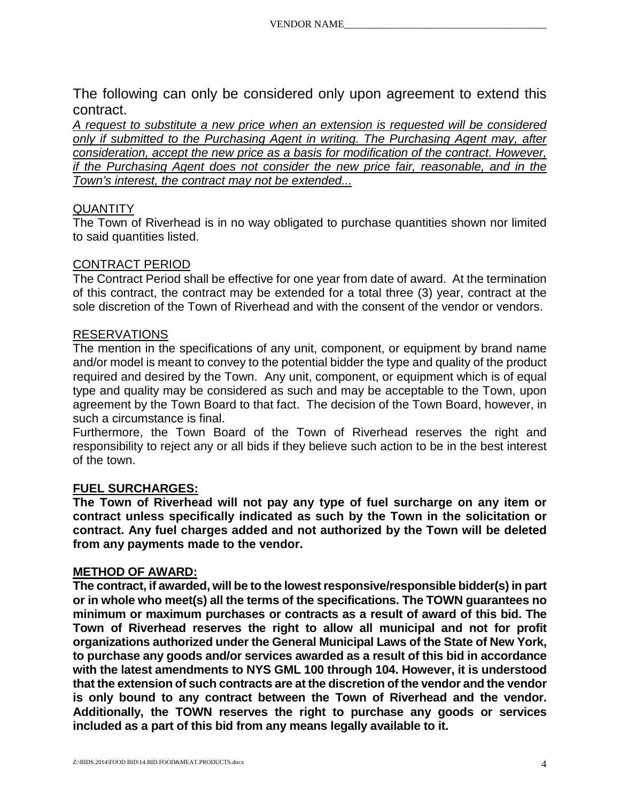The following can only be considered only upon agreement to extend this contract.

*A request to substitute a new price when an extension is requested will be considered only if submitted to the Purchasing Agent in writing. The Purchasing Agent may, after consideration, accept the new price as a basis for modification of the contract. However, if the Purchasing Agent does not consider the new price fair, reasonable, and in the Town's interest, the contract may not be extended...*

# **QUANTITY**

The Town of Riverhead is in no way obligated to purchase quantities shown nor limited to said quantities listed.

#### CONTRACT PERIOD

The Contract Period shall be effective for one year from date of award. At the termination of this contract, the contract may be extended for a total three (3) year, contract at the sole discretion of the Town of Riverhead and with the consent of the vendor or vendors.

#### RESERVATIONS

The mention in the specifications of any unit, component, or equipment by brand name and/or model is meant to convey to the potential bidder the type and quality of the product required and desired by the Town. Any unit, component, or equipment which is of equal type and quality may be considered as such and may be acceptable to the Town, upon agreement by the Town Board to that fact. The decision of the Town Board, however, in such a circumstance is final.

Furthermore, the Town Board of the Town of Riverhead reserves the right and responsibility to reject any or all bids if they believe such action to be in the best interest of the town.

### **FUEL SURCHARGES:**

**The Town of Riverhead will not pay any type of fuel surcharge on any item or contract unless specifically indicated as such by the Town in the solicitation or contract. Any fuel charges added and not authorized by the Town will be deleted from any payments made to the vendor.**

### **METHOD OF AWARD:**

**The contract, if awarded, will be to the lowest responsive/responsible bidder(s) in part or in whole who meet(s) all the terms of the specifications. The TOWN guarantees no minimum or maximum purchases or contracts as a result of award of this bid. The Town of Riverhead reserves the right to allow all municipal and not for profit organizations authorized under the General Municipal Laws of the State of New York, to purchase any goods and/or services awarded as a result of this bid in accordance with the latest amendments to NYS GML 100 through 104. However, it is understood that the extension of such contracts are at the discretion of the vendor and the vendor is only bound to any contract between the Town of Riverhead and the vendor. Additionally, the TOWN reserves the right to purchase any goods or services included as a part of this bid from any means legally available to it.**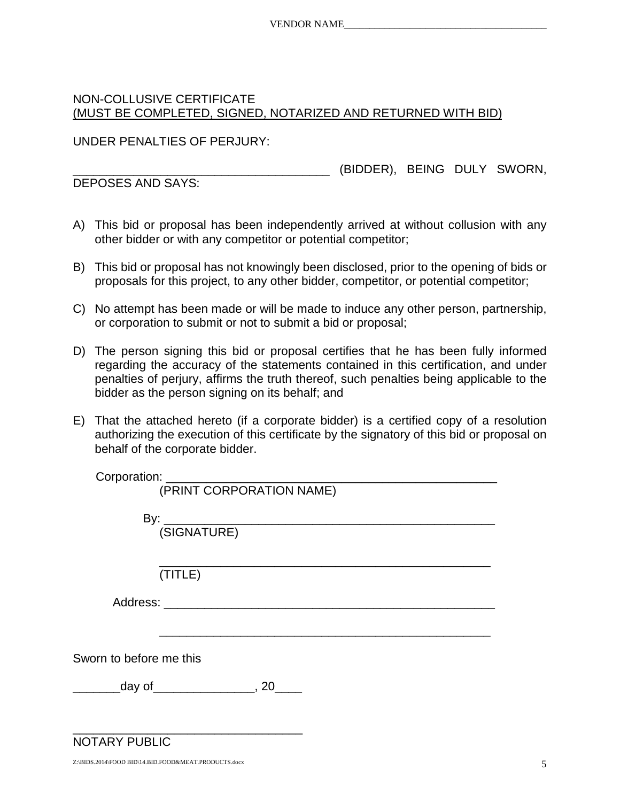# NON-COLLUSIVE CERTIFICATE (MUST BE COMPLETED, SIGNED, NOTARIZED AND RETURNED WITH BID)

UNDER PENALTIES OF PERJURY:

\_\_\_\_\_\_\_\_\_\_\_\_\_\_\_\_\_\_\_\_\_\_\_\_\_\_\_\_\_\_\_\_\_\_\_\_\_\_ (BIDDER), BEING DULY SWORN,

DEPOSES AND SAYS:

- A) This bid or proposal has been independently arrived at without collusion with any other bidder or with any competitor or potential competitor;
- B) This bid or proposal has not knowingly been disclosed, prior to the opening of bids or proposals for this project, to any other bidder, competitor, or potential competitor;
- C) No attempt has been made or will be made to induce any other person, partnership, or corporation to submit or not to submit a bid or proposal;
- D) The person signing this bid or proposal certifies that he has been fully informed regarding the accuracy of the statements contained in this certification, and under penalties of perjury, affirms the truth thereof, such penalties being applicable to the bidder as the person signing on its behalf; and
- E) That the attached hereto (if a corporate bidder) is a certified copy of a resolution authorizing the execution of this certificate by the signatory of this bid or proposal on behalf of the corporate bidder.

Corporation:

(PRINT CORPORATION NAME)

 By: \_\_\_\_\_\_\_\_\_\_\_\_\_\_\_\_\_\_\_\_\_\_\_\_\_\_\_\_\_\_\_\_\_\_\_\_\_\_\_\_\_\_\_\_\_\_\_\_\_ (SIGNATURE)

\_\_\_\_\_\_\_\_\_\_\_\_\_\_\_\_\_\_\_\_\_\_\_\_\_\_\_\_\_\_\_\_\_\_\_\_\_\_\_\_\_\_\_\_\_\_\_\_\_ (TITLE)

Address: \_\_\_\_\_\_\_\_\_\_\_\_\_\_\_\_\_\_\_\_\_\_\_\_\_\_\_\_\_\_\_\_\_\_\_\_\_\_\_\_\_\_\_\_\_\_\_\_\_

\_\_\_\_\_\_\_\_\_\_\_\_\_\_\_\_\_\_\_\_\_\_\_\_\_\_\_\_\_\_\_\_\_\_\_\_\_\_\_\_\_\_\_\_\_\_\_\_\_

Sworn to before me this

\_\_\_\_\_\_\_\_\_day of\_\_\_\_\_\_\_\_\_\_\_\_\_\_\_\_\_\_, 20\_\_\_\_\_

\_\_\_\_\_\_\_\_\_\_\_\_\_\_\_\_\_\_\_\_\_\_\_\_\_\_\_\_\_\_\_\_\_\_

NOTARY PUBLIC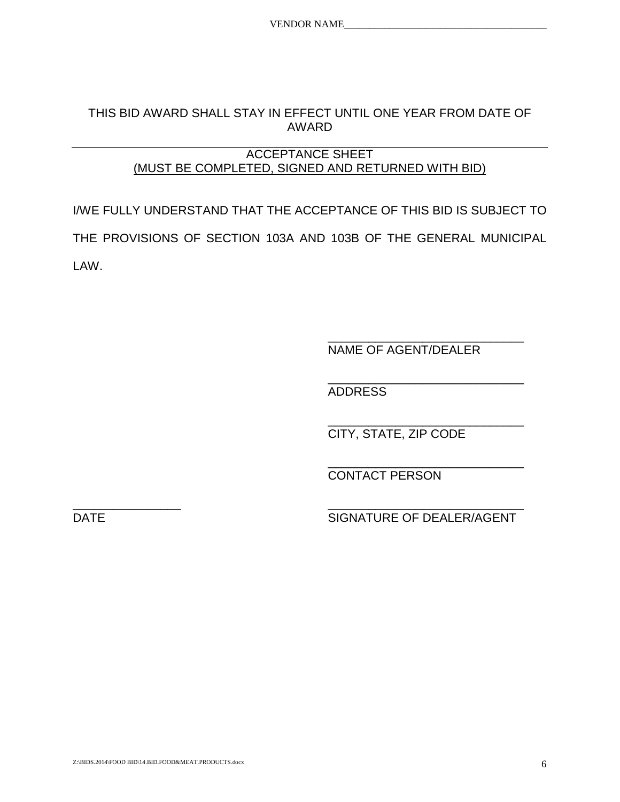## THIS BID AWARD SHALL STAY IN EFFECT UNTIL ONE YEAR FROM DATE OF AWARD

### ACCEPTANCE SHEET (MUST BE COMPLETED, SIGNED AND RETURNED WITH BID)

I/WE FULLY UNDERSTAND THAT THE ACCEPTANCE OF THIS BID IS SUBJECT TO THE PROVISIONS OF SECTION 103A AND 103B OF THE GENERAL MUNICIPAL LAW.

> \_\_\_\_\_\_\_\_\_\_\_\_\_\_\_\_\_\_\_\_\_\_\_\_\_\_\_\_\_ NAME OF AGENT/DEALER

> \_\_\_\_\_\_\_\_\_\_\_\_\_\_\_\_\_\_\_\_\_\_\_\_\_\_\_\_\_ ADDRESS

> \_\_\_\_\_\_\_\_\_\_\_\_\_\_\_\_\_\_\_\_\_\_\_\_\_\_\_\_\_ CITY, STATE, ZIP CODE

> \_\_\_\_\_\_\_\_\_\_\_\_\_\_\_\_\_\_\_\_\_\_\_\_\_\_\_\_\_ CONTACT PERSON

\_\_\_\_\_\_\_\_\_\_\_\_\_\_\_\_ \_\_\_\_\_\_\_\_\_\_\_\_\_\_\_\_\_\_\_\_\_\_\_\_\_\_\_\_\_ DATE SIGNATURE OF DEALER/AGENT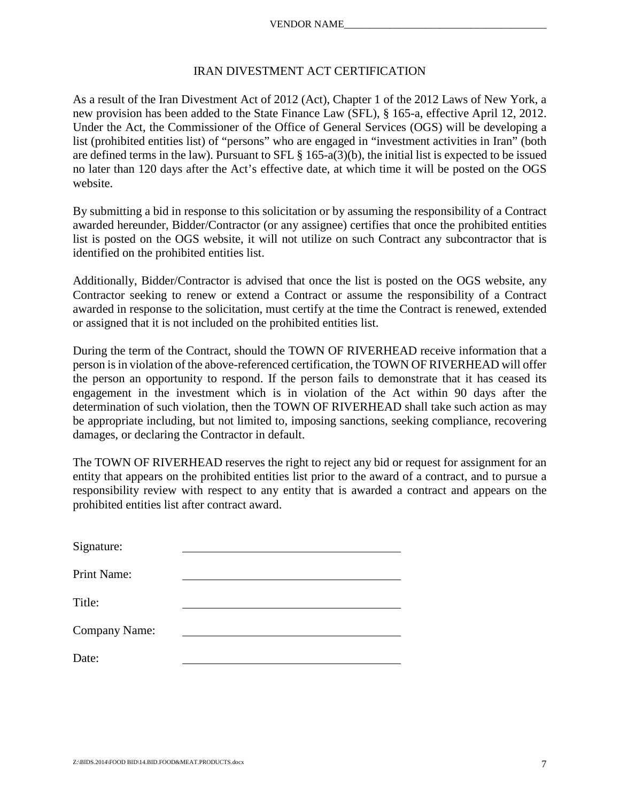#### IRAN DIVESTMENT ACT CERTIFICATION

As a result of the Iran Divestment Act of 2012 (Act), Chapter 1 of the 2012 Laws of New York, a new provision has been added to the State Finance Law (SFL), § 165-a, effective April 12, 2012. Under the Act, the Commissioner of the Office of General Services (OGS) will be developing a list (prohibited entities list) of "persons" who are engaged in "investment activities in Iran" (both are defined terms in the law). Pursuant to SFL § 165-a(3)(b), the initial list is expected to be issued no later than 120 days after the Act's effective date, at which time it will be posted on the OGS website.

By submitting a bid in response to this solicitation or by assuming the responsibility of a Contract awarded hereunder, Bidder/Contractor (or any assignee) certifies that once the prohibited entities list is posted on the OGS website, it will not utilize on such Contract any subcontractor that is identified on the prohibited entities list.

Additionally, Bidder/Contractor is advised that once the list is posted on the OGS website, any Contractor seeking to renew or extend a Contract or assume the responsibility of a Contract awarded in response to the solicitation, must certify at the time the Contract is renewed, extended or assigned that it is not included on the prohibited entities list.

During the term of the Contract, should the TOWN OF RIVERHEAD receive information that a person is in violation of the above-referenced certification, the TOWN OF RIVERHEAD will offer the person an opportunity to respond. If the person fails to demonstrate that it has ceased its engagement in the investment which is in violation of the Act within 90 days after the determination of such violation, then the TOWN OF RIVERHEAD shall take such action as may be appropriate including, but not limited to, imposing sanctions, seeking compliance, recovering damages, or declaring the Contractor in default.

The TOWN OF RIVERHEAD reserves the right to reject any bid or request for assignment for an entity that appears on the prohibited entities list prior to the award of a contract, and to pursue a responsibility review with respect to any entity that is awarded a contract and appears on the prohibited entities list after contract award.

| Signature:    |  |
|---------------|--|
| Print Name:   |  |
| Title:        |  |
| Company Name: |  |
| Date:         |  |
|               |  |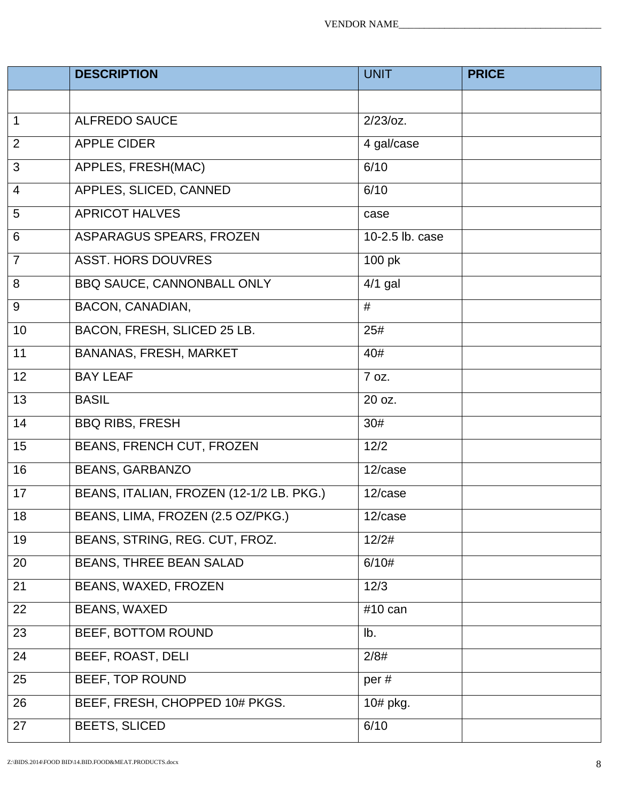|                 | <b>DESCRIPTION</b>                       | <b>UNIT</b>          | <b>PRICE</b> |
|-----------------|------------------------------------------|----------------------|--------------|
|                 |                                          |                      |              |
| $\overline{1}$  | <b>ALFREDO SAUCE</b>                     | $2/23$ /oz.          |              |
| 2               | <b>APPLE CIDER</b>                       | 4 gal/case           |              |
| $\overline{3}$  | APPLES, FRESH(MAC)                       | 6/10                 |              |
| $\overline{4}$  | APPLES, SLICED, CANNED                   | 6/10                 |              |
| $\overline{5}$  | <b>APRICOT HALVES</b>                    | case                 |              |
| $6\phantom{1}6$ | ASPARAGUS SPEARS, FROZEN                 | 10-2.5 lb. case      |              |
| $\overline{7}$  | <b>ASST. HORS DOUVRES</b>                | 100 pk               |              |
| $\overline{8}$  | BBQ SAUCE, CANNONBALL ONLY               | $\overline{4/1}$ gal |              |
| 9               | BACON, CANADIAN,                         | #                    |              |
| 10              | BACON, FRESH, SLICED 25 LB.              | 25#                  |              |
| 11              | BANANAS, FRESH, MARKET                   | 40#                  |              |
| 12              | <b>BAY LEAF</b>                          | 7 oz.                |              |
| 13              | <b>BASIL</b>                             | 20 oz.               |              |
| 14              | <b>BBQ RIBS, FRESH</b>                   | 30#                  |              |
| 15              | BEANS, FRENCH CUT, FROZEN                | 12/2                 |              |
| 16              | <b>BEANS, GARBANZO</b>                   | 12/case              |              |
| 17              | BEANS, ITALIAN, FROZEN (12-1/2 LB. PKG.) | 12/case              |              |
| 18              | BEANS, LIMA, FROZEN (2.5 OZ/PKG.)        | 12/case              |              |
| 19              | BEANS, STRING, REG. CUT, FROZ.           | 12/2#                |              |
| 20              | BEANS, THREE BEAN SALAD                  | 6/10#                |              |
| 21              | BEANS, WAXED, FROZEN                     | 12/3                 |              |
| 22              | <b>BEANS, WAXED</b>                      | #10 can              |              |
| 23              | BEEF, BOTTOM ROUND                       | lb.                  |              |
| 24              | BEEF, ROAST, DELI                        | 2/8#                 |              |
| 25              | BEEF, TOP ROUND                          | per#                 |              |
| 26              | BEEF, FRESH, CHOPPED 10# PKGS.           | 10# pkg.             |              |
| 27              | <b>BEETS, SLICED</b>                     | 6/10                 |              |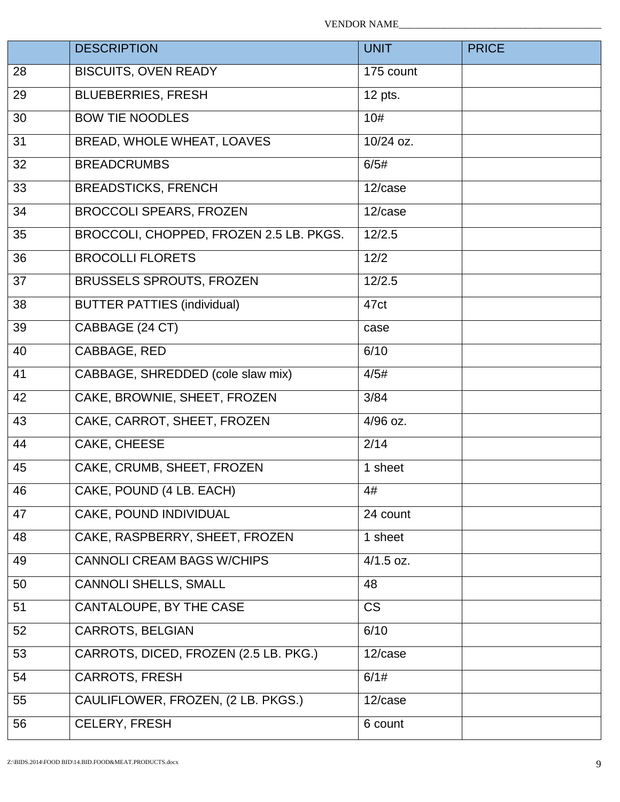|    | <b>DESCRIPTION</b>                      | <b>UNIT</b> | <b>PRICE</b> |
|----|-----------------------------------------|-------------|--------------|
| 28 | <b>BISCUITS, OVEN READY</b>             | 175 count   |              |
| 29 | <b>BLUEBERRIES, FRESH</b>               | 12 pts.     |              |
| 30 | <b>BOW TIE NOODLES</b>                  | 10#         |              |
| 31 | BREAD, WHOLE WHEAT, LOAVES              | 10/24 oz.   |              |
| 32 | <b>BREADCRUMBS</b>                      | 6/5#        |              |
| 33 | <b>BREADSTICKS, FRENCH</b>              | 12/case     |              |
| 34 | <b>BROCCOLI SPEARS, FROZEN</b>          | 12/case     |              |
| 35 | BROCCOLI, CHOPPED, FROZEN 2.5 LB. PKGS. | 12/2.5      |              |
| 36 | <b>BROCOLLI FLORETS</b>                 | 12/2        |              |
| 37 | <b>BRUSSELS SPROUTS, FROZEN</b>         | 12/2.5      |              |
| 38 | <b>BUTTER PATTIES (individual)</b>      | 47ct        |              |
| 39 | CABBAGE (24 CT)                         | case        |              |
| 40 | CABBAGE, RED                            | 6/10        |              |
| 41 | CABBAGE, SHREDDED (cole slaw mix)       | 4/5#        |              |
| 42 | CAKE, BROWNIE, SHEET, FROZEN            | 3/84        |              |
| 43 | CAKE, CARROT, SHEET, FROZEN             | 4/96 oz.    |              |
| 44 | <b>CAKE, CHEESE</b>                     | 2/14        |              |
| 45 | CAKE, CRUMB, SHEET, FROZEN              | 1 sheet     |              |
| 46 | CAKE, POUND (4 LB. EACH)                | 4#          |              |
| 47 | <b>CAKE, POUND INDIVIDUAL</b>           | 24 count    |              |
| 48 | CAKE, RASPBERRY, SHEET, FROZEN          | 1 sheet     |              |
| 49 | <b>CANNOLI CREAM BAGS W/CHIPS</b>       | $4/1.5$ oz. |              |
| 50 | <b>CANNOLI SHELLS, SMALL</b>            | 48          |              |
| 51 | CANTALOUPE, BY THE CASE                 | <b>CS</b>   |              |
| 52 | CARROTS, BELGIAN                        | 6/10        |              |
| 53 | CARROTS, DICED, FROZEN (2.5 LB. PKG.)   | 12/case     |              |
| 54 | <b>CARROTS, FRESH</b>                   | 6/1#        |              |
| 55 | CAULIFLOWER, FROZEN, (2 LB. PKGS.)      | 12/case     |              |
| 56 | CELERY, FRESH                           | 6 count     |              |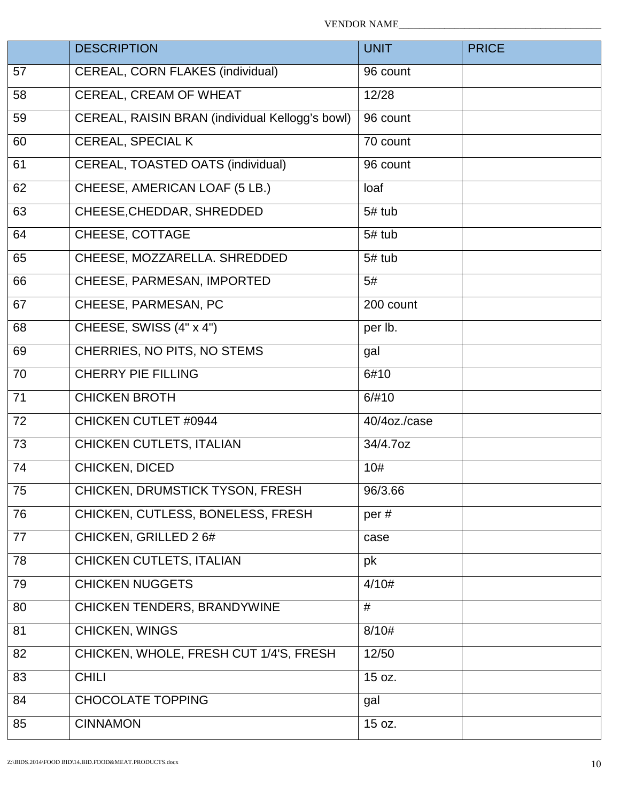|    | <b>DESCRIPTION</b>                              | <b>UNIT</b>  | <b>PRICE</b> |
|----|-------------------------------------------------|--------------|--------------|
| 57 | CEREAL, CORN FLAKES (individual)                | 96 count     |              |
| 58 | CEREAL, CREAM OF WHEAT                          | 12/28        |              |
| 59 | CEREAL, RAISIN BRAN (individual Kellogg's bowl) | 96 count     |              |
| 60 | CEREAL, SPECIAL K                               | 70 count     |              |
| 61 | CEREAL, TOASTED OATS (individual)               | 96 count     |              |
| 62 | CHEESE, AMERICAN LOAF (5 LB.)                   | loaf         |              |
| 63 | CHEESE, CHEDDAR, SHREDDED                       | 5# tub       |              |
| 64 | CHEESE, COTTAGE                                 | 5# tub       |              |
| 65 | CHEESE, MOZZARELLA. SHREDDED                    | 5# tub       |              |
| 66 | CHEESE, PARMESAN, IMPORTED                      | 5#           |              |
| 67 | CHEESE, PARMESAN, PC                            | 200 count    |              |
| 68 | CHEESE, SWISS (4" x 4")                         | per lb.      |              |
| 69 | CHERRIES, NO PITS, NO STEMS                     | gal          |              |
| 70 | <b>CHERRY PIE FILLING</b>                       | 6#10         |              |
| 71 | <b>CHICKEN BROTH</b>                            | 6/#10        |              |
| 72 | <b>CHICKEN CUTLET #0944</b>                     | 40/4oz./case |              |
| 73 | CHICKEN CUTLETS, ITALIAN                        | 34/4.7oz     |              |
| 74 | CHICKEN, DICED                                  | 10#          |              |
| 75 | CHICKEN, DRUMSTICK TYSON, FRESH                 | 96/3.66      |              |
| 76 | CHICKEN, CUTLESS, BONELESS, FRESH               | per#         |              |
| 77 | CHICKEN, GRILLED 2 6#                           | case         |              |
| 78 | CHICKEN CUTLETS, ITALIAN                        | pk           |              |
| 79 | <b>CHICKEN NUGGETS</b>                          | 4/10#        |              |
| 80 | CHICKEN TENDERS, BRANDYWINE                     | #            |              |
| 81 | CHICKEN, WINGS                                  | 8/10#        |              |
| 82 | CHICKEN, WHOLE, FRESH CUT 1/4'S, FRESH          | 12/50        |              |
| 83 | <b>CHILI</b>                                    | 15 oz.       |              |
| 84 | <b>CHOCOLATE TOPPING</b>                        | gal          |              |
| 85 | <b>CINNAMON</b>                                 | 15 oz.       |              |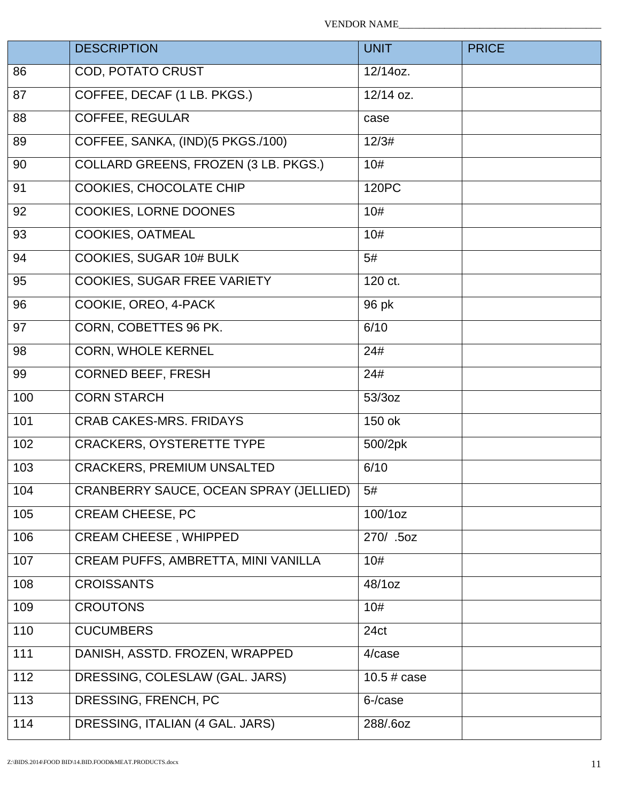|     | <b>DESCRIPTION</b>                     | <b>UNIT</b>    | <b>PRICE</b> |
|-----|----------------------------------------|----------------|--------------|
| 86  | COD, POTATO CRUST                      | 12/14oz.       |              |
| 87  | COFFEE, DECAF (1 LB. PKGS.)            | 12/14 oz.      |              |
| 88  | <b>COFFEE, REGULAR</b>                 | case           |              |
| 89  | COFFEE, SANKA, (IND)(5 PKGS./100)      | 12/3#          |              |
| 90  | COLLARD GREENS, FROZEN (3 LB. PKGS.)   | 10#            |              |
| 91  | COOKIES, CHOCOLATE CHIP                | 120PC          |              |
| 92  | COOKIES, LORNE DOONES                  | 10#            |              |
| 93  | COOKIES, OATMEAL                       | 10#            |              |
| 94  | COOKIES, SUGAR 10# BULK                | 5#             |              |
| 95  | COOKIES, SUGAR FREE VARIETY            | 120 ct.        |              |
| 96  | COOKIE, OREO, 4-PACK                   | 96 pk          |              |
| 97  | CORN, COBETTES 96 PK.                  | 6/10           |              |
| 98  | <b>CORN, WHOLE KERNEL</b>              | 24#            |              |
| 99  | <b>CORNED BEEF, FRESH</b>              | 24#            |              |
| 100 | <b>CORN STARCH</b>                     | 53/3oz         |              |
| 101 | <b>CRAB CAKES-MRS. FRIDAYS</b>         | 150 ok         |              |
| 102 | <b>CRACKERS, OYSTERETTE TYPE</b>       | 500/2pk        |              |
| 103 | <b>CRACKERS, PREMIUM UNSALTED</b>      | 6/10           |              |
| 104 | CRANBERRY SAUCE, OCEAN SPRAY (JELLIED) | 5#             |              |
| 105 | <b>CREAM CHEESE, PC</b>                | 100/1oz        |              |
| 106 | <b>CREAM CHEESE, WHIPPED</b>           | 270/ .5oz      |              |
| 107 | CREAM PUFFS, AMBRETTA, MINI VANILLA    | 10#            |              |
| 108 | <b>CROISSANTS</b>                      | 48/1oz         |              |
| 109 | <b>CROUTONS</b>                        | 10#            |              |
| 110 | <b>CUCUMBERS</b>                       | 24ct           |              |
| 111 | DANISH, ASSTD. FROZEN, WRAPPED         | 4/case         |              |
| 112 | DRESSING, COLESLAW (GAL. JARS)         | $10.5 \# case$ |              |
| 113 | DRESSING, FRENCH, PC                   | 6-/case        |              |
| 114 | DRESSING, ITALIAN (4 GAL. JARS)        | 288/.6oz       |              |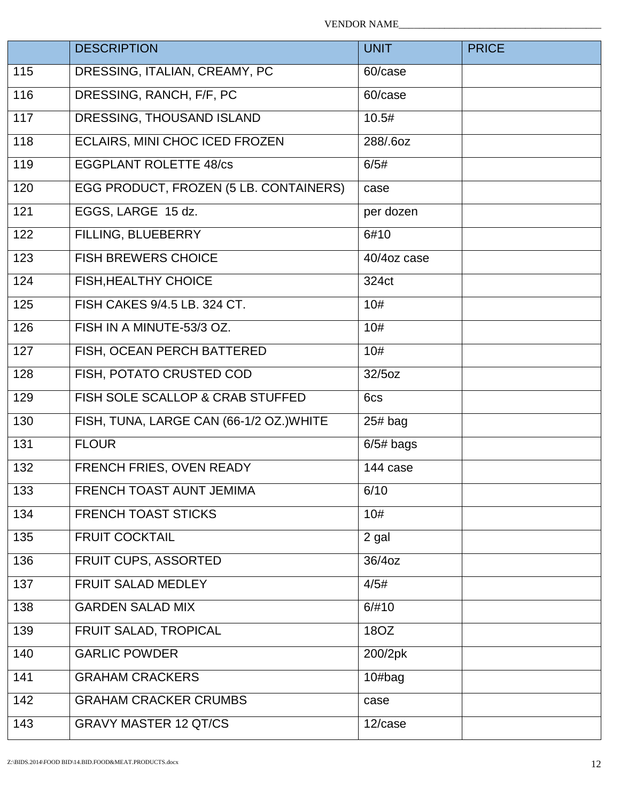|     | <b>DESCRIPTION</b>                       | <b>UNIT</b>       | <b>PRICE</b> |
|-----|------------------------------------------|-------------------|--------------|
| 115 | DRESSING, ITALIAN, CREAMY, PC            | 60/case           |              |
| 116 | DRESSING, RANCH, F/F, PC                 | 60/case           |              |
| 117 | DRESSING, THOUSAND ISLAND                | 10.5#             |              |
| 118 | ECLAIRS, MINI CHOC ICED FROZEN           | 288/.6oz          |              |
| 119 | <b>EGGPLANT ROLETTE 48/cs</b>            | 6/5#              |              |
| 120 | EGG PRODUCT, FROZEN (5 LB. CONTAINERS)   | case              |              |
| 121 | EGGS, LARGE 15 dz.                       | per dozen         |              |
| 122 | FILLING, BLUEBERRY                       | 6#10              |              |
| 123 | <b>FISH BREWERS CHOICE</b>               | 40/4oz case       |              |
| 124 | FISH, HEALTHY CHOICE                     | 324 <sub>ct</sub> |              |
| 125 | FISH CAKES 9/4.5 LB. 324 CT.             | 10#               |              |
| 126 | FISH IN A MINUTE-53/3 OZ.                | 10#               |              |
| 127 | FISH, OCEAN PERCH BATTERED               | 10#               |              |
| 128 | FISH, POTATO CRUSTED COD                 | 32/5oz            |              |
| 129 | FISH SOLE SCALLOP & CRAB STUFFED         | 6cs               |              |
| 130 | FISH, TUNA, LARGE CAN (66-1/2 OZ.) WHITE | $25#$ bag         |              |
| 131 | <b>FLOUR</b>                             | $6/5#$ bags       |              |
| 132 | FRENCH FRIES, OVEN READY                 | 144 case          |              |
| 133 | FRENCH TOAST AUNT JEMIMA                 | 6/10              |              |
| 134 | <b>FRENCH TOAST STICKS</b>               | 10#               |              |
| 135 | <b>FRUIT COCKTAIL</b>                    | 2 gal             |              |
| 136 | FRUIT CUPS, ASSORTED                     | 36/4oz            |              |
| 137 | FRUIT SALAD MEDLEY                       | 4/5#              |              |
| 138 | <b>GARDEN SALAD MIX</b>                  | 6/#10             |              |
| 139 | FRUIT SALAD, TROPICAL                    | 180Z              |              |
| 140 | <b>GARLIC POWDER</b>                     | 200/2pk           |              |
| 141 | <b>GRAHAM CRACKERS</b>                   | $10#$ bag         |              |
| 142 | <b>GRAHAM CRACKER CRUMBS</b>             | case              |              |
| 143 | <b>GRAVY MASTER 12 QT/CS</b>             | 12/case           |              |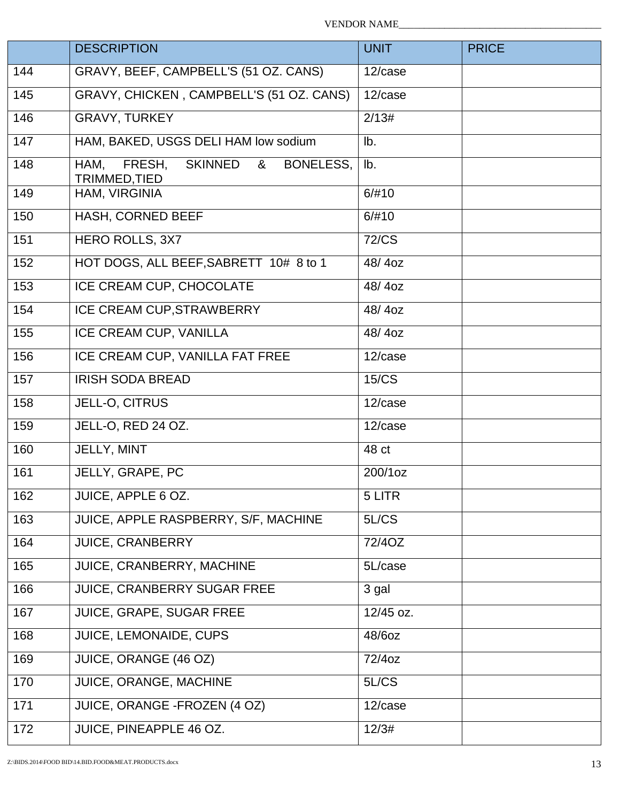VENDOR NAME\_\_\_\_\_\_\_\_\_\_\_\_\_\_\_\_\_\_\_\_\_\_\_\_\_\_\_\_\_\_\_\_\_\_\_\_\_\_\_\_

|     | <b>DESCRIPTION</b>                                                  | <b>UNIT</b>           | <b>PRICE</b> |
|-----|---------------------------------------------------------------------|-----------------------|--------------|
| 144 | GRAVY, BEEF, CAMPBELL'S (51 OZ. CANS)                               | 12/case               |              |
| 145 | GRAVY, CHICKEN, CAMPBELL'S (51 OZ. CANS)                            | $\overline{1}$ 2/case |              |
| 146 | <b>GRAVY, TURKEY</b>                                                | 2/13#                 |              |
| 147 | HAM, BAKED, USGS DELI HAM low sodium                                | lb.                   |              |
| 148 | HAM,<br>FRESH,<br><b>SKINNED</b><br>BONELESS,<br>&<br>TRIMMED, TIED | lb.                   |              |
| 149 | HAM, VIRGINIA                                                       | 6/#10                 |              |
| 150 | HASH, CORNED BEEF                                                   | 6/#10                 |              |
| 151 | <b>HERO ROLLS, 3X7</b>                                              | <b>72/CS</b>          |              |
| 152 | HOT DOGS, ALL BEEF, SABRETT 10# 8 to 1                              | 48/4oz                |              |
| 153 | ICE CREAM CUP, CHOCOLATE                                            | 48/4oz                |              |
| 154 | ICE CREAM CUP, STRAWBERRY                                           | 48/4oz                |              |
| 155 | ICE CREAM CUP, VANILLA                                              | 48/4oz                |              |
| 156 | ICE CREAM CUP, VANILLA FAT FREE                                     | 12/case               |              |
| 157 | <b>IRISH SODA BREAD</b>                                             | 15/CS                 |              |
| 158 | JELL-O, CITRUS                                                      | 12/case               |              |
| 159 | JELL-O, RED 24 OZ.                                                  | 12/case               |              |
| 160 | JELLY, MINT                                                         | 48 ct                 |              |
| 161 | JELLY, GRAPE, PC                                                    | 200/1oz               |              |
| 162 | <b>JUICE, APPLE 6 OZ.</b>                                           | 5 LITR                |              |
| 163 | JUICE, APPLE RASPBERRY, S/F, MACHINE                                | 5L/CS                 |              |
| 164 | JUICE, CRANBERRY                                                    | 72/4OZ                |              |
| 165 | JUICE, CRANBERRY, MACHINE                                           | 5L/case               |              |
| 166 | JUICE, CRANBERRY SUGAR FREE                                         | 3 gal                 |              |
| 167 | JUICE, GRAPE, SUGAR FREE                                            | 12/45 oz.             |              |
| 168 | JUICE, LEMONAIDE, CUPS                                              | 48/6oz                |              |
| 169 | JUICE, ORANGE (46 OZ)                                               | 72/4oz                |              |
| 170 | JUICE, ORANGE, MACHINE                                              | 5L/CS                 |              |
| 171 | JUICE, ORANGE - FROZEN (4 OZ)                                       | 12/case               |              |
| 172 | JUICE, PINEAPPLE 46 OZ.                                             | 12/3#                 |              |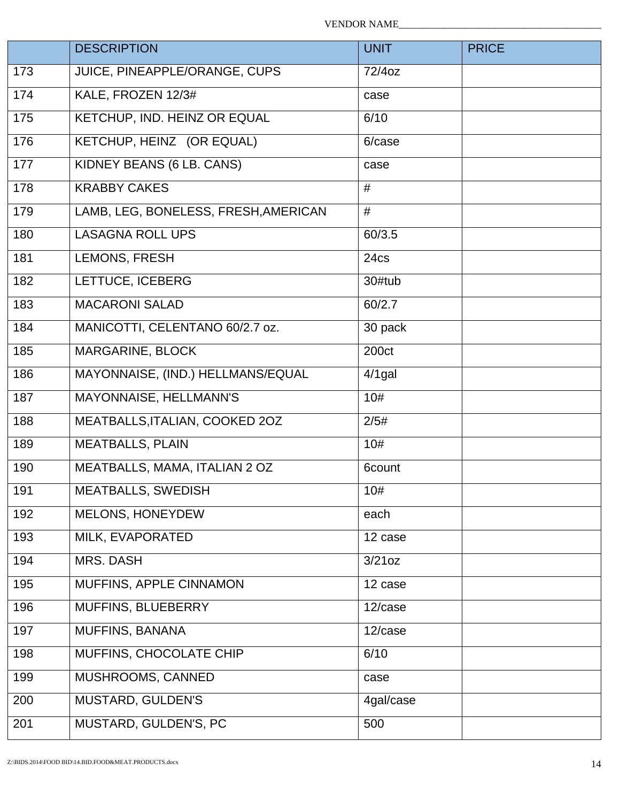|     | <b>DESCRIPTION</b>                   | <b>UNIT</b> | <b>PRICE</b> |
|-----|--------------------------------------|-------------|--------------|
| 173 | JUICE, PINEAPPLE/ORANGE, CUPS        | 72/4oz      |              |
| 174 | KALE, FROZEN 12/3#                   | case        |              |
| 175 | KETCHUP, IND. HEINZ OR EQUAL         | 6/10        |              |
| 176 | KETCHUP, HEINZ (OR EQUAL)            | 6/case      |              |
| 177 | KIDNEY BEANS (6 LB. CANS)            | case        |              |
| 178 | <b>KRABBY CAKES</b>                  | #           |              |
| 179 | LAMB, LEG, BONELESS, FRESH, AMERICAN | #           |              |
| 180 | <b>LASAGNA ROLL UPS</b>              | 60/3.5      |              |
| 181 | LEMONS, FRESH                        | 24cs        |              |
| 182 | LETTUCE, ICEBERG                     | 30#tub      |              |
| 183 | <b>MACARONI SALAD</b>                | 60/2.7      |              |
| 184 | MANICOTTI, CELENTANO 60/2.7 oz.      | 30 pack     |              |
| 185 | MARGARINE, BLOCK                     | 200ct       |              |
| 186 | MAYONNAISE, (IND.) HELLMANS/EQUAL    | $4/1$ gal   |              |
| 187 | MAYONNAISE, HELLMANN'S               | 10#         |              |
| 188 | MEATBALLS, ITALIAN, COOKED 20Z       | 2/5#        |              |
| 189 | <b>MEATBALLS, PLAIN</b>              | 10#         |              |
| 190 | MEATBALLS, MAMA, ITALIAN 2 OZ        | 6count      |              |
| 191 | <b>MEATBALLS, SWEDISH</b>            | 10#         |              |
| 192 | <b>MELONS, HONEYDEW</b>              | each        |              |
| 193 | MILK, EVAPORATED                     | 12 case     |              |
| 194 | MRS. DASH                            | 3/21oz      |              |
| 195 | MUFFINS, APPLE CINNAMON              | 12 case     |              |
| 196 | MUFFINS, BLUEBERRY                   | 12/case     |              |
| 197 | <b>MUFFINS, BANANA</b>               | 12/case     |              |
| 198 | MUFFINS, CHOCOLATE CHIP              | 6/10        |              |
| 199 | MUSHROOMS, CANNED                    | case        |              |
| 200 | MUSTARD, GULDEN'S                    | 4gal/case   |              |
| 201 | MUSTARD, GULDEN'S, PC                | 500         |              |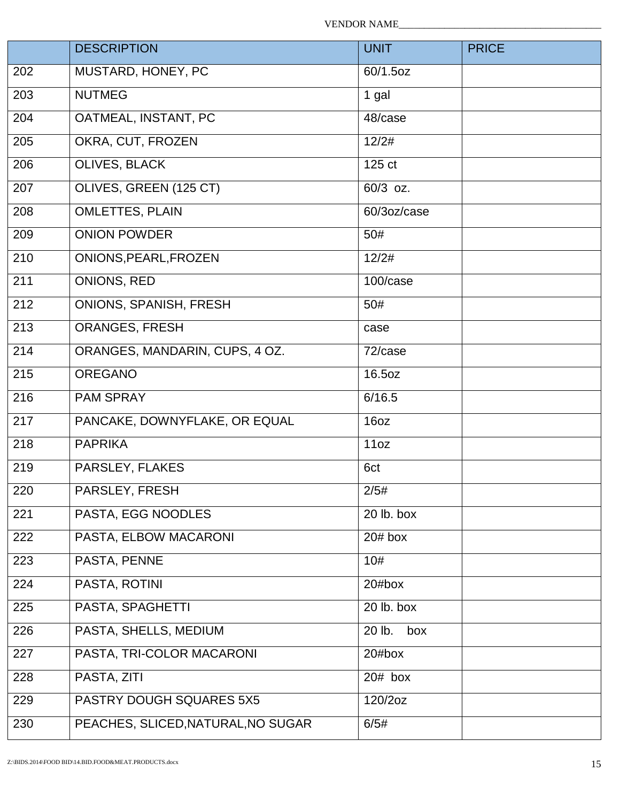|                   | <b>DESCRIPTION</b>                 | <b>UNIT</b>   | <b>PRICE</b> |
|-------------------|------------------------------------|---------------|--------------|
| 202               | MUSTARD, HONEY, PC                 | 60/1.5oz      |              |
| 203               | <b>NUTMEG</b>                      | 1 gal         |              |
| 204               | OATMEAL, INSTANT, PC               | 48/case       |              |
| 205               | OKRA, CUT, FROZEN                  | 12/2#         |              |
| 206               | <b>OLIVES, BLACK</b>               | 125 ct        |              |
| 207               | OLIVES, GREEN (125 CT)             | 60/3 oz.      |              |
| 208               | <b>OMLETTES, PLAIN</b>             | 60/3oz/case   |              |
| 209               | <b>ONION POWDER</b>                | 50#           |              |
| 210               | ONIONS, PEARL, FROZEN              | 12/2#         |              |
| $\overline{211}$  | ONIONS, RED                        | 100/case      |              |
| $\overline{2}12$  | <b>ONIONS, SPANISH, FRESH</b>      | 50#           |              |
| $\overline{2}$ 13 | <b>ORANGES, FRESH</b>              | case          |              |
| 214               | ORANGES, MANDARIN, CUPS, 4 OZ.     | 72/case       |              |
| $\overline{2}$ 15 | <b>OREGANO</b>                     | 16.5oz        |              |
| 216               | <b>PAM SPRAY</b>                   | 6/16.5        |              |
| 217               | PANCAKE, DOWNYFLAKE, OR EQUAL      | 16oz          |              |
| 218               | <b>PAPRIKA</b>                     | 11oz          |              |
| 219               | PARSLEY, FLAKES                    | 6ct           |              |
| 220               | PARSLEY, FRESH                     | 2/5#          |              |
| 221               | PASTA, EGG NOODLES                 | 20 lb. box    |              |
| 222               | PASTA, ELBOW MACARONI              | $20#$ box     |              |
| 223               | PASTA, PENNE                       | 10#           |              |
| 224               | PASTA, ROTINI                      | 20#box        |              |
| 225               | PASTA, SPAGHETTI                   | 20 lb. box    |              |
| 226               | PASTA, SHELLS, MEDIUM              | 20 lb.<br>box |              |
| 227               | PASTA, TRI-COLOR MACARONI          | 20#box        |              |
| 228               | PASTA, ZITI                        | $20#$ box     |              |
| 229               | PASTRY DOUGH SQUARES 5X5           | 120/2oz       |              |
| 230               | PEACHES, SLICED, NATURAL, NO SUGAR | 6/5#          |              |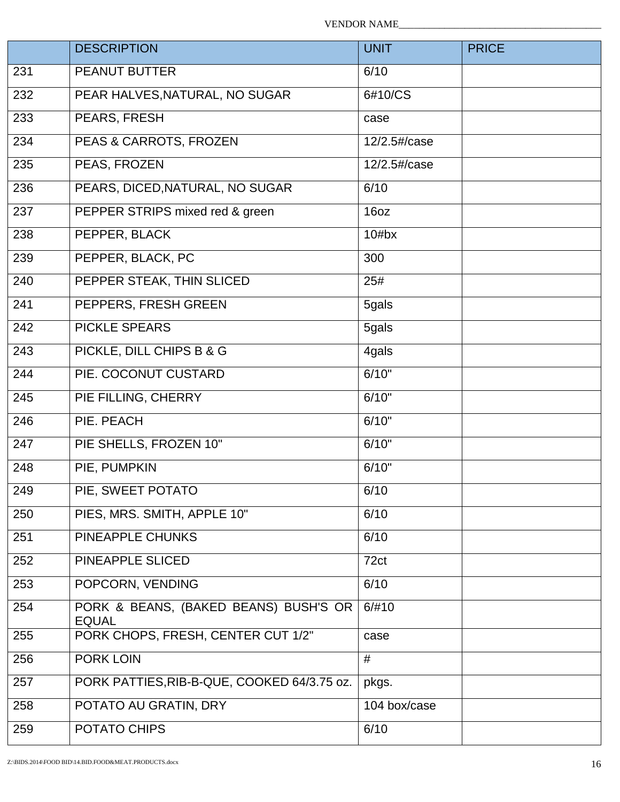|     | <b>DESCRIPTION</b>                                    | <b>UNIT</b>  | <b>PRICE</b> |
|-----|-------------------------------------------------------|--------------|--------------|
| 231 | <b>PEANUT BUTTER</b>                                  | 6/10         |              |
| 232 | PEAR HALVES, NATURAL, NO SUGAR                        | 6#10/CS      |              |
| 233 | PEARS, FRESH                                          | case         |              |
| 234 | PEAS & CARROTS, FROZEN                                | 12/2.5#/case |              |
| 235 | PEAS, FROZEN                                          | 12/2.5#/case |              |
| 236 | PEARS, DICED, NATURAL, NO SUGAR                       | 6/10         |              |
| 237 | PEPPER STRIPS mixed red & green                       | 16oz         |              |
| 238 | PEPPER, BLACK                                         | 10#bx        |              |
| 239 | PEPPER, BLACK, PC                                     | 300          |              |
| 240 | PEPPER STEAK, THIN SLICED                             | 25#          |              |
| 241 | PEPPERS, FRESH GREEN                                  | 5gals        |              |
| 242 | <b>PICKLE SPEARS</b>                                  | 5gals        |              |
| 243 | PICKLE, DILL CHIPS B & G                              | 4gals        |              |
| 244 | PIE. COCONUT CUSTARD                                  | 6/10"        |              |
| 245 | PIE FILLING, CHERRY                                   | 6/10"        |              |
| 246 | PIE. PEACH                                            | 6/10"        |              |
| 247 | PIE SHELLS, FROZEN 10"                                | 6/10"        |              |
| 248 | PIE, PUMPKIN                                          | 6/10"        |              |
| 249 | PIE, SWEET POTATO                                     | 6/10         |              |
| 250 | PIES, MRS. SMITH, APPLE 10"                           | 6/10         |              |
| 251 | PINEAPPLE CHUNKS                                      | 6/10         |              |
| 252 | PINEAPPLE SLICED                                      | 72ct         |              |
| 253 | POPCORN, VENDING                                      | 6/10         |              |
| 254 | PORK & BEANS, (BAKED BEANS) BUSH'S OR<br><b>EQUAL</b> | 6/#10        |              |
| 255 | PORK CHOPS, FRESH, CENTER CUT 1/2"                    | case         |              |
| 256 | PORK LOIN                                             | #            |              |
| 257 | PORK PATTIES, RIB-B-QUE, COOKED 64/3.75 oz.           | pkgs.        |              |
| 258 | POTATO AU GRATIN, DRY                                 | 104 box/case |              |
| 259 | POTATO CHIPS                                          | 6/10         |              |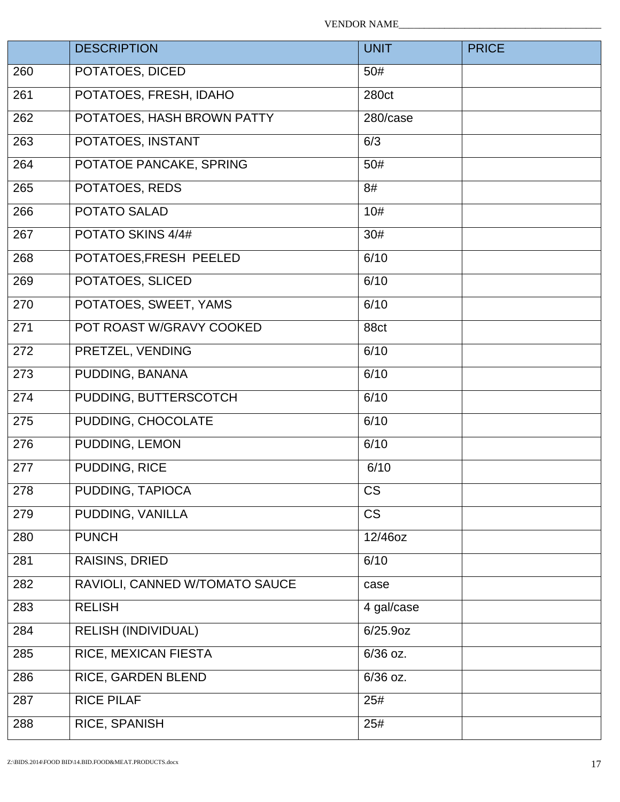|     | <b>DESCRIPTION</b>             | <b>UNIT</b> | <b>PRICE</b> |
|-----|--------------------------------|-------------|--------------|
| 260 | POTATOES, DICED                | 50#         |              |
| 261 | POTATOES, FRESH, IDAHO         | 280ct       |              |
| 262 | POTATOES, HASH BROWN PATTY     | 280/case    |              |
| 263 | POTATOES, INSTANT              | 6/3         |              |
| 264 | POTATOE PANCAKE, SPRING        | 50#         |              |
| 265 | POTATOES, REDS                 | 8#          |              |
| 266 | <b>POTATO SALAD</b>            | 10#         |              |
| 267 | POTATO SKINS 4/4#              | 30#         |              |
| 268 | POTATOES, FRESH PEELED         | 6/10        |              |
| 269 | POTATOES, SLICED               | 6/10        |              |
| 270 | POTATOES, SWEET, YAMS          | 6/10        |              |
| 271 | POT ROAST W/GRAVY COOKED       | 88ct        |              |
| 272 | PRETZEL, VENDING               | 6/10        |              |
| 273 | PUDDING, BANANA                | 6/10        |              |
| 274 | PUDDING, BUTTERSCOTCH          | 6/10        |              |
| 275 | PUDDING, CHOCOLATE             | 6/10        |              |
| 276 | PUDDING, LEMON                 | 6/10        |              |
| 277 | PUDDING, RICE                  | 6/10        |              |
| 278 | PUDDING, TAPIOCA               | <b>CS</b>   |              |
| 279 | PUDDING, VANILLA               | <b>CS</b>   |              |
| 280 | <b>PUNCH</b>                   | 12/46oz     |              |
| 281 | RAISINS, DRIED                 | 6/10        |              |
| 282 | RAVIOLI, CANNED W/TOMATO SAUCE | case        |              |
| 283 | <b>RELISH</b>                  | 4 gal/case  |              |
| 284 | <b>RELISH (INDIVIDUAL)</b>     | $6/25.9$ oz |              |
| 285 | RICE, MEXICAN FIESTA           | 6/36 oz.    |              |
| 286 | RICE, GARDEN BLEND             | 6/36 oz.    |              |
| 287 | <b>RICE PILAF</b>              | 25#         |              |
| 288 | RICE, SPANISH                  | 25#         |              |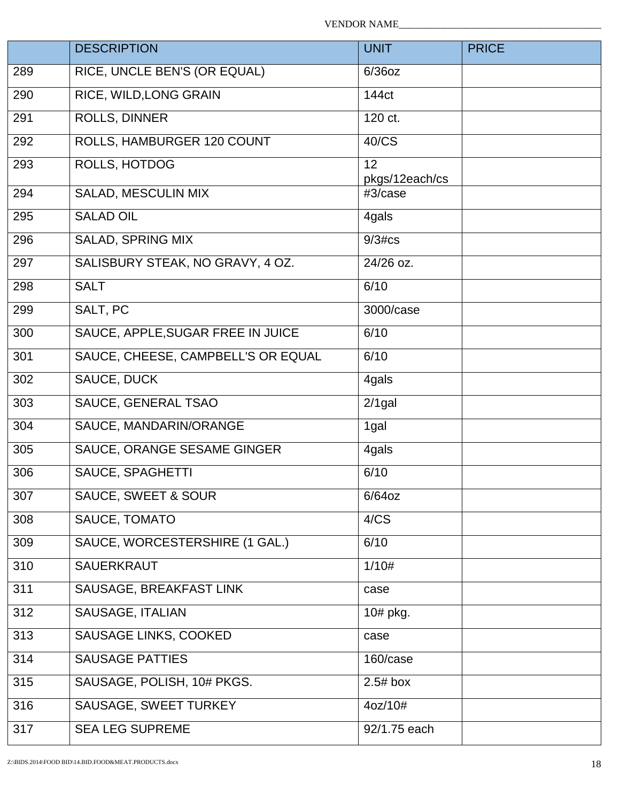|     | <b>DESCRIPTION</b>                 | <b>UNIT</b>          | <b>PRICE</b> |
|-----|------------------------------------|----------------------|--------------|
| 289 | RICE, UNCLE BEN'S (OR EQUAL)       | $6/36$ oz            |              |
| 290 | RICE, WILD, LONG GRAIN             | 144ct                |              |
| 291 | ROLLS, DINNER                      | 120 ct.              |              |
| 292 | ROLLS, HAMBURGER 120 COUNT         | 40/CS                |              |
| 293 | ROLLS, HOTDOG                      | 12<br>pkgs/12each/cs |              |
| 294 | SALAD, MESCULIN MIX                | #3/case              |              |
| 295 | <b>SALAD OIL</b>                   | 4gals                |              |
| 296 | SALAD, SPRING MIX                  | $9/3$ # $cs$         |              |
| 297 | SALISBURY STEAK, NO GRAVY, 4 OZ.   | 24/26 oz.            |              |
| 298 | <b>SALT</b>                        | 6/10                 |              |
| 299 | SALT, PC                           | 3000/case            |              |
| 300 | SAUCE, APPLE, SUGAR FREE IN JUICE  | 6/10                 |              |
| 301 | SAUCE, CHEESE, CAMPBELL'S OR EQUAL | 6/10                 |              |
| 302 | SAUCE, DUCK                        | 4gals                |              |
| 303 | SAUCE, GENERAL TSAO                | $2/1$ gal            |              |
| 304 | SAUCE, MANDARIN/ORANGE             | 1gal                 |              |
| 305 | SAUCE, ORANGE SESAME GINGER        | 4gals                |              |
| 306 | SAUCE, SPAGHETTI                   | 6/10                 |              |
| 307 | <b>SAUCE, SWEET &amp; SOUR</b>     | $6/64$ oz            |              |
| 308 | SAUCE, TOMATO                      | 4/CS                 |              |
| 309 | SAUCE, WORCESTERSHIRE (1 GAL.)     | 6/10                 |              |
| 310 | <b>SAUERKRAUT</b>                  | 1/10#                |              |
| 311 | SAUSAGE, BREAKFAST LINK            | case                 |              |
| 312 | SAUSAGE, ITALIAN                   | 10# pkg.             |              |
| 313 | SAUSAGE LINKS, COOKED              | case                 |              |
| 314 | <b>SAUSAGE PATTIES</b>             | 160/case             |              |
| 315 | SAUSAGE, POLISH, 10# PKGS.         | $2.5#$ box           |              |
| 316 | SAUSAGE, SWEET TURKEY              | 4oz/10#              |              |
| 317 | <b>SEA LEG SUPREME</b>             | 92/1.75 each         |              |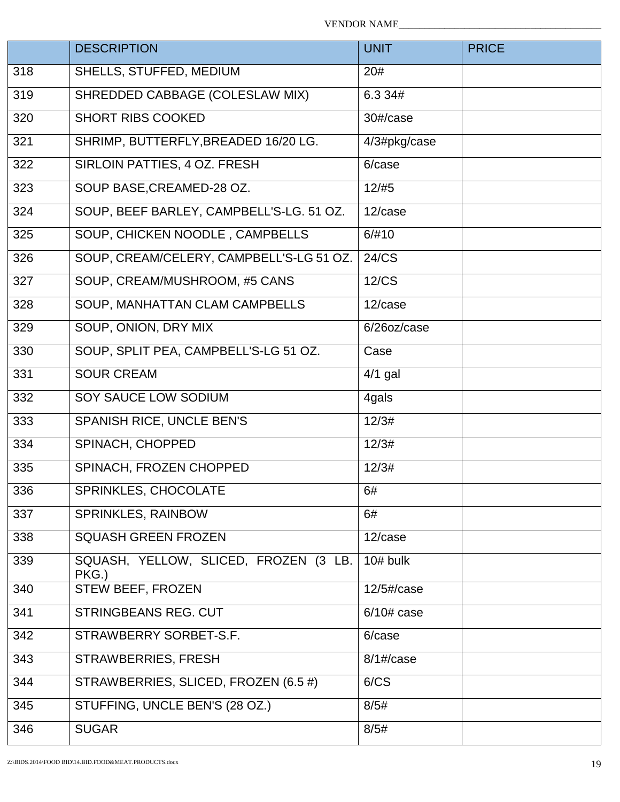|     | <b>DESCRIPTION</b>                             | <b>UNIT</b>            | <b>PRICE</b> |
|-----|------------------------------------------------|------------------------|--------------|
| 318 | SHELLS, STUFFED, MEDIUM                        | 20#                    |              |
| 319 | SHREDDED CABBAGE (COLESLAW MIX)                | 6.3 34#                |              |
| 320 | <b>SHORT RIBS COOKED</b>                       | 30#/case               |              |
| 321 | SHRIMP, BUTTERFLY, BREADED 16/20 LG.           | 4/3#pkg/case           |              |
| 322 | SIRLOIN PATTIES, 4 OZ. FRESH                   | 6/case                 |              |
| 323 | SOUP BASE, CREAMED-28 OZ.                      | 12/#5                  |              |
| 324 | SOUP, BEEF BARLEY, CAMPBELL'S-LG. 51 OZ.       | 12/case                |              |
| 325 | SOUP, CHICKEN NOODLE, CAMPBELLS                | 6/#10                  |              |
| 326 | SOUP, CREAM/CELERY, CAMPBELL'S-LG 51 OZ.       | 24/CS                  |              |
| 327 | SOUP, CREAM/MUSHROOM, #5 CANS                  | 12/CS                  |              |
| 328 | SOUP, MANHATTAN CLAM CAMPBELLS                 | 12/case                |              |
| 329 | SOUP, ONION, DRY MIX                           | 6/26oz/case            |              |
| 330 | SOUP, SPLIT PEA, CAMPBELL'S-LG 51 OZ.          | Case                   |              |
| 331 | <b>SOUR CREAM</b>                              | $4/1$ gal              |              |
| 332 | SOY SAUCE LOW SODIUM                           | 4gals                  |              |
| 333 | SPANISH RICE, UNCLE BEN'S                      | 12/3#                  |              |
| 334 | SPINACH, CHOPPED                               | 12/3#                  |              |
| 335 | SPINACH, FROZEN CHOPPED                        | 12/3#                  |              |
| 336 | SPRINKLES, CHOCOLATE                           | 6#                     |              |
| 337 | SPRINKLES, RAINBOW                             | 6#                     |              |
| 338 | <b>SQUASH GREEN FROZEN</b>                     | 12/case                |              |
| 339 | SQUASH, YELLOW, SLICED, FROZEN (3 LB.<br>PKG.) | $10#$ bulk             |              |
| 340 | STEW BEEF, FROZEN                              | $12/5\frac{t}{2}$ case |              |
| 341 | <b>STRINGBEANS REG. CUT</b>                    | $6/10#$ case           |              |
| 342 | STRAWBERRY SORBET-S.F.                         | 6/case                 |              |
| 343 | STRAWBERRIES, FRESH                            | $8/1$ #/case           |              |
| 344 | STRAWBERRIES, SLICED, FROZEN (6.5 #)           | 6/CS                   |              |
| 345 | STUFFING, UNCLE BEN'S (28 OZ.)                 | 8/5#                   |              |
| 346 | <b>SUGAR</b>                                   | 8/5#                   |              |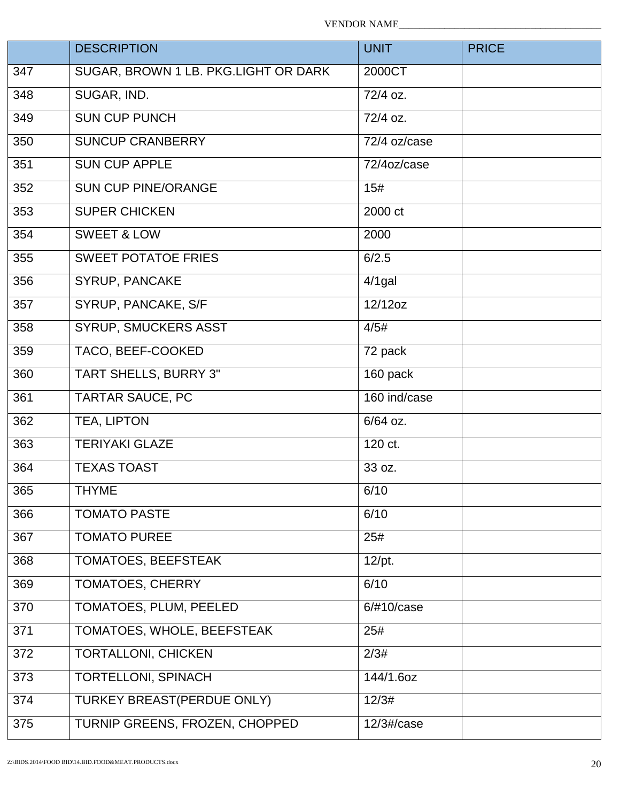VENDOR NAME\_\_\_\_\_\_\_\_\_\_\_\_\_\_\_\_\_\_\_\_\_\_\_\_\_\_\_\_\_\_\_\_\_\_\_\_\_\_\_\_

|     | <b>DESCRIPTION</b>                   | <b>UNIT</b>           | <b>PRICE</b> |
|-----|--------------------------------------|-----------------------|--------------|
| 347 | SUGAR, BROWN 1 LB. PKG.LIGHT OR DARK | 2000CT                |              |
| 348 | SUGAR, IND.                          | $\frac{1}{72}{4}$ oz. |              |
| 349 | <b>SUN CUP PUNCH</b>                 | 72/4 oz.              |              |
| 350 | <b>SUNCUP CRANBERRY</b>              | 72/4 oz/case          |              |
| 351 | <b>SUN CUP APPLE</b>                 | 72/4oz/case           |              |
| 352 | <b>SUN CUP PINE/ORANGE</b>           | 15#                   |              |
| 353 | <b>SUPER CHICKEN</b>                 | 2000 ct               |              |
| 354 | <b>SWEET &amp; LOW</b>               | 2000                  |              |
| 355 | <b>SWEET POTATOE FRIES</b>           | 6/2.5                 |              |
| 356 | SYRUP, PANCAKE                       | $4/1$ gal             |              |
| 357 | SYRUP, PANCAKE, S/F                  | 12/12oz               |              |
| 358 | SYRUP, SMUCKERS ASST                 | 4/5#                  |              |
| 359 | TACO, BEEF-COOKED                    | 72 pack               |              |
| 360 | TART SHELLS, BURRY 3"                | 160 pack              |              |
| 361 | <b>TARTAR SAUCE, PC</b>              | 160 ind/case          |              |
| 362 | TEA, LIPTON                          | 6/64 oz.              |              |
| 363 | <b>TERIYAKI GLAZE</b>                | 120 ct.               |              |
| 364 | <b>TEXAS TOAST</b>                   | 33 oz.                |              |
| 365 | <b>THYME</b>                         | 6/10                  |              |
| 366 | <b>TOMATO PASTE</b>                  | 6/10                  |              |
| 367 | <b>TOMATO PUREE</b>                  | 25#                   |              |
| 368 | TOMATOES, BEEFSTEAK                  | $12$ /pt.             |              |
| 369 | TOMATOES, CHERRY                     | 6/10                  |              |
| 370 | TOMATOES, PLUM, PEELED               | 6/#10/case            |              |
| 371 | TOMATOES, WHOLE, BEEFSTEAK           | 25#                   |              |
| 372 | <b>TORTALLONI, CHICKEN</b>           | 2/3#                  |              |
| 373 | <b>TORTELLONI, SPINACH</b>           | 144/1.6oz             |              |
| 374 | TURKEY BREAST(PERDUE ONLY)           | 12/3#                 |              |
| 375 | TURNIP GREENS, FROZEN, CHOPPED       | $12/3\#$ /case        |              |